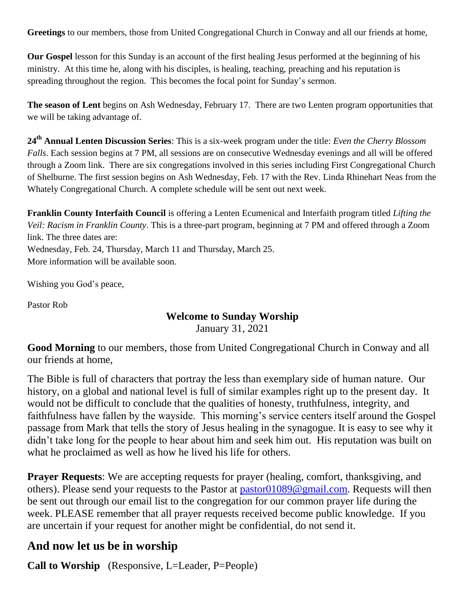**Greetings** to our members, those from United Congregational Church in Conway and all our friends at home,

**Our Gospel** lesson for this Sunday is an account of the first healing Jesus performed at the beginning of his ministry. At this time he, along with his disciples, is healing, teaching, preaching and his reputation is spreading throughout the region. This becomes the focal point for Sunday's sermon.

**The season of Lent** begins on Ash Wednesday, February 17. There are two Lenten program opportunities that we will be taking advantage of.

**24th Annual Lenten Discussion Series**: This is a six-week program under the title: *Even the Cherry Blossom Falls*. Each session begins at 7 PM, all sessions are on consecutive Wednesday evenings and all will be offered through a Zoom link. There are six congregations involved in this series including First Congregational Church of Shelburne. The first session begins on Ash Wednesday, Feb. 17 with the Rev. Linda Rhinehart Neas from the Whately Congregational Church. A complete schedule will be sent out next week.

**Franklin County Interfaith Council** is offering a Lenten Ecumenical and Interfaith program titled *Lifting the Veil: Racism in Franklin County*. This is a three-part program, beginning at 7 PM and offered through a Zoom link. The three dates are: Wednesday, Feb. 24, Thursday, March 11 and Thursday, March 25.

More information will be available soon.

Wishing you God's peace,

Pastor Rob

### **Welcome to Sunday Worship**

January 31, 2021

**Good Morning** to our members, those from United Congregational Church in Conway and all our friends at home,

The Bible is full of characters that portray the less than exemplary side of human nature. Our history, on a global and national level is full of similar examples right up to the present day. It would not be difficult to conclude that the qualities of honesty, truthfulness, integrity, and faithfulness have fallen by the wayside. This morning's service centers itself around the Gospel passage from Mark that tells the story of Jesus healing in the synagogue. It is easy to see why it didn't take long for the people to hear about him and seek him out. His reputation was built on what he proclaimed as well as how he lived his life for others.

**Prayer Requests**: We are accepting requests for prayer (healing, comfort, thanksgiving, and others). Please send your requests to the Pastor at [pastor01089@gmail.com.](mailto:pastor01089@gmail.com) Requests will then be sent out through our email list to the congregation for our common prayer life during the week. PLEASE remember that all prayer requests received become public knowledge. If you are uncertain if your request for another might be confidential, do not send it.

# **And now let us be in worship**

**Call to Worship** (Responsive, L=Leader, P=People)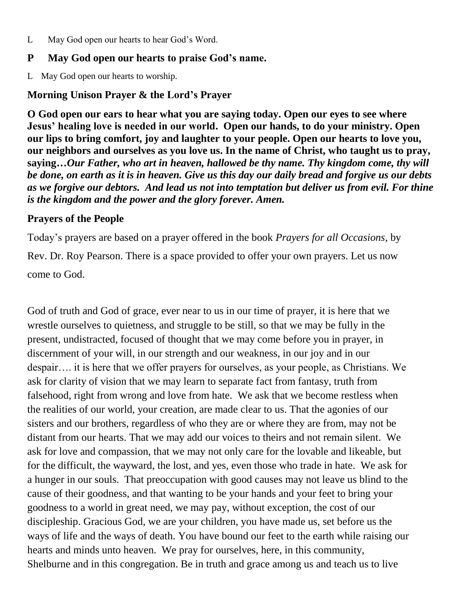L May God open our hearts to hear God's Word.

### **P May God open our hearts to praise God's name.**

L May God open our hearts to worship.

## **Morning Unison Prayer & the Lord's Prayer**

**O God open our ears to hear what you are saying today. Open our eyes to see where Jesus' healing love is needed in our world. Open our hands, to do your ministry. Open our lips to bring comfort, joy and laughter to your people. Open our hearts to love you, our neighbors and ourselves as you love us. In the name of Christ, who taught us to pray, saying…***Our Father, who art in heaven, hallowed be thy name. Thy kingdom come, thy will be done, on earth as it is in heaven. Give us this day our daily bread and forgive us our debts as we forgive our debtors. And lead us not into temptation but deliver us from evil. For thine is the kingdom and the power and the glory forever. Amen.*

### **Prayers of the People**

Today's prayers are based on a prayer offered in the book *Prayers for all Occasions*, by Rev. Dr. Roy Pearson. There is a space provided to offer your own prayers. Let us now come to God.

God of truth and God of grace, ever near to us in our time of prayer, it is here that we wrestle ourselves to quietness, and struggle to be still, so that we may be fully in the present, undistracted, focused of thought that we may come before you in prayer, in discernment of your will, in our strength and our weakness, in our joy and in our despair…. it is here that we offer prayers for ourselves, as your people, as Christians. We ask for clarity of vision that we may learn to separate fact from fantasy, truth from falsehood, right from wrong and love from hate. We ask that we become restless when the realities of our world, your creation, are made clear to us. That the agonies of our sisters and our brothers, regardless of who they are or where they are from, may not be distant from our hearts. That we may add our voices to theirs and not remain silent. We ask for love and compassion, that we may not only care for the lovable and likeable, but for the difficult, the wayward, the lost, and yes, even those who trade in hate. We ask for a hunger in our souls. That preoccupation with good causes may not leave us blind to the cause of their goodness, and that wanting to be your hands and your feet to bring your goodness to a world in great need, we may pay, without exception, the cost of our discipleship. Gracious God, we are your children, you have made us, set before us the ways of life and the ways of death. You have bound our feet to the earth while raising our hearts and minds unto heaven. We pray for ourselves, here, in this community, Shelburne and in this congregation. Be in truth and grace among us and teach us to live